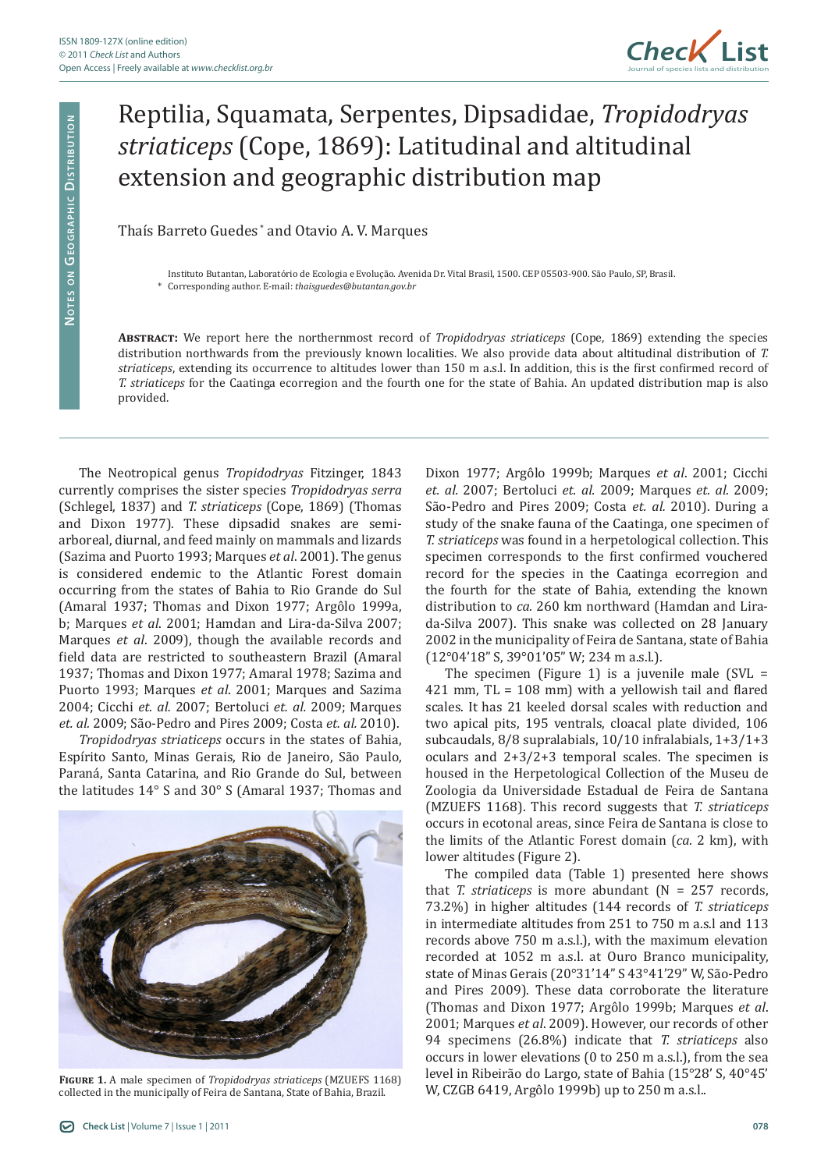

## Reptilia, Squamata, Serpentes, Dipsadidae, *Tropidodryas striaticeps* (Cope, 1869): Latitudinal and altitudinal extension and geographic distribution map

Thaís Barreto Guedes \* and Otavio A. V. Marques

Instituto Butantan, Laboratório de Ecologia e Evolução. Avenida Dr. Vital Brasil, 1500. CEP 05503-900. São Paulo, SP, Brasil.

\* Corresponding author. E-mail: *thaisguedes@butantan.gov.br*

**Abstract:** We report here the northernmost record of *Tropidodryas striaticeps* (Cope, 1869) extending the species distribution northwards from the previously known localities. We also provide data about altitudinal distribution of *T. striaticeps*, extending its occurrence to altitudes lower than 150 m a.s.l. In addition, this is the first confirmed record of *T. striaticeps* for the Caatinga ecorregion and the fourth one for the state of Bahia. An updated distribution map is also provided.

The Neotropical genus *Tropidodryas* Fitzinger, 1843 currently comprises the sister species *Tropidodryas serra* (Schlegel, 1837) and *T. striaticeps* (Cope, 1869) (Thomas and Dixon 1977)*.* These dipsadid snakes are semiarboreal, diurnal, and feed mainly on mammals and lizards (Sazima and Puorto 1993; Marques *et al*. 2001). The genus is considered endemic to the Atlantic Forest domain occurring from the states of Bahia to Rio Grande do Sul (Amaral 1937; Thomas and Dixon 1977; Argôlo 1999a, b; Marques *et al*. 2001; Hamdan and Lira-da-Silva 2007; Marques *et al*. 2009), though the available records and field data are restricted to southeastern Brazil (Amaral 1937; Thomas and Dixon 1977; Amaral 1978; Sazima and Puorto 1993; Marques *et al*. 2001; Marques and Sazima 2004; Cicchi *et. al.* 2007; Bertoluci *et. al.* 2009; Marques *et. al.* 2009; São-Pedro and Pires 2009; Costa *et. al.* 2010).

*Tropidodryas striaticeps* occurs in the states of Bahia, Espírito Santo, Minas Gerais, Rio de Janeiro, São Paulo, Paraná, Santa Catarina, and Rio Grande do Sul, between the latitudes 14° S and 30° S (Amaral 1937; Thomas and



**Figure 1.** A male specimen of *Tropidodryas striaticeps* (MZUEFS 1168) collected in the municipally of Feira de Santana, State of Bahia, Brazil.

São-Pedro and Pires 2009; Costa *et. al.* 2010). During a study of the snake fauna of the Caatinga, one specimen of *T. striaticeps* was found in a herpetological collection. This specimen corresponds to the first confirmed vouchered record for the species in the Caatinga ecorregion and the fourth for the state of Bahia, extending the known distribution to *ca.* 260 km northward (Hamdan and Lirada-Silva 2007). This snake was collected on 28 January 2002 in the municipality of Feira de Santana, state of Bahia (12°04'18" S, 39°01'05" W; 234 m a.s.l.). The specimen (Figure 1) is a juvenile male (SVL  $=$ 421 mm, TL = 108 mm) with a yellowish tail and flared

Dixon 1977; Argôlo 1999b; Marques *et al*. 2001; Cicchi *et. al.* 2007; Bertoluci *et. al.* 2009; Marques *et. al.* 2009;

scales. It has 21 keeled dorsal scales with reduction and two apical pits, 195 ventrals, cloacal plate divided, 106 subcaudals, 8/8 supralabials, 10/10 infralabials, 1+3/1+3 oculars and 2+3/2+3 temporal scales. The specimen is housed in the Herpetological Collection of the Museu de Zoologia da Universidade Estadual de Feira de Santana (MZUEFS 1168). This record suggests that *T. striaticeps* occurs in ecotonal areas, since Feira de Santana is close to the limits of the Atlantic Forest domain (*ca.* 2 km), with lower altitudes (Figure 2).

The compiled data (Table 1) presented here shows that *T. striaticeps* is more abundant (N = 257 records, 73.2%) in higher altitudes (144 records of *T. striaticeps*  in intermediate altitudes from 251 to 750 m a.s.l and 113 records above 750 m a.s.l.), with the maximum elevation recorded at 1052 m a.s.l. at Ouro Branco municipality, state of Minas Gerais (20°31'14" S 43°41'29" W, São-Pedro and Pires 2009). These data corroborate the literature (Thomas and Dixon 1977; Argôlo 1999b; Marques *et al*. 2001; Marques *et al*. 2009). However, our records of other 94 specimens (26.8%) indicate that *T. striaticeps* also occurs in lower elevations (0 to 250 m a.s.l.), from the sea level in Ribeirão do Largo, state of Bahia (15°28' S, 40°45' W, CZGB 6419, Argôlo 1999b) up to 250 m a.s.l..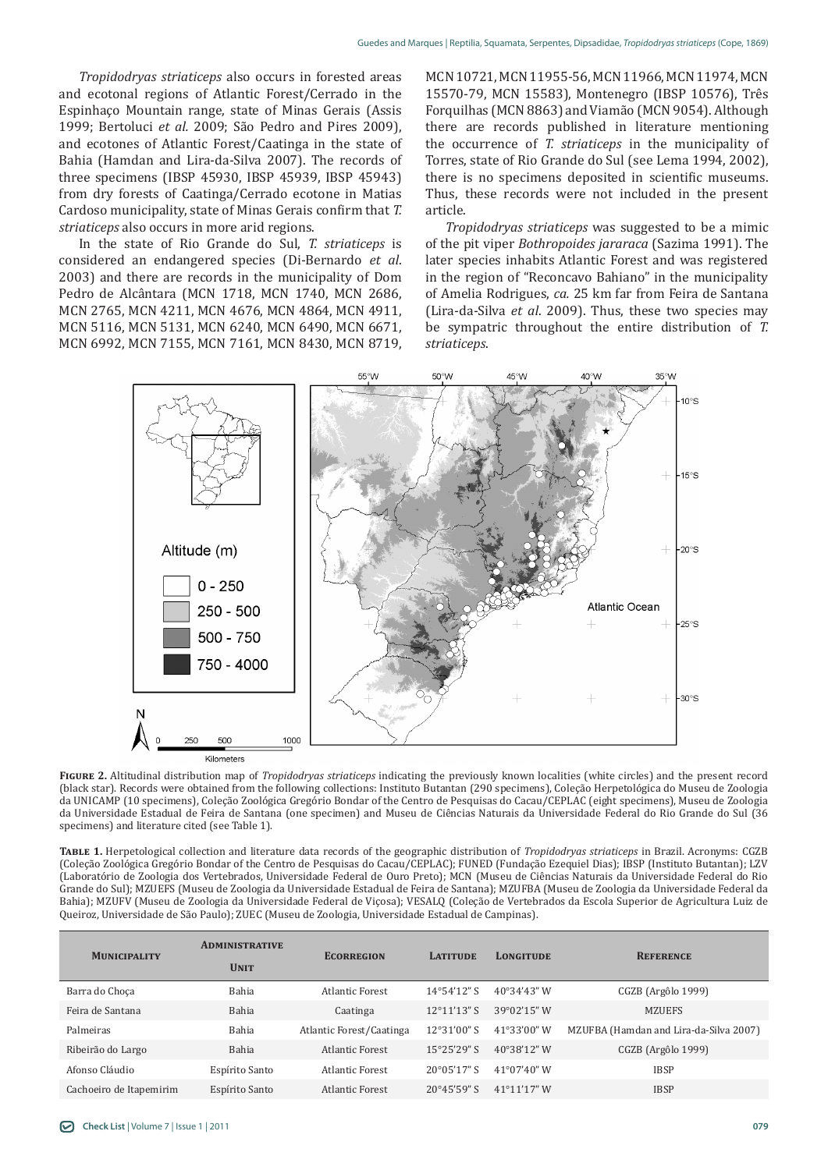*Tropidodryas striaticeps* also occurs in forested areas and ecotonal regions of Atlantic Forest/Cerrado in the Espinhaço Mountain range, state of Minas Gerais (Assis 1999; Bertoluci *et al.* 2009; São Pedro and Pires 2009), and ecotones of Atlantic Forest/Caatinga in the state of Bahia (Hamdan and Lira-da-Silva 2007). The records of three specimens (IBSP 45930, IBSP 45939, IBSP 45943) from dry forests of Caatinga/Cerrado ecotone in Matias Cardoso municipality, state of Minas Gerais confirm that *T. striaticeps* also occurs in more arid regions.

In the state of Rio Grande do Sul, *T. striaticeps* is considered an endangered species (Di-Bernardo *et al*. 2003) and there are records in the municipality of Dom Pedro de Alcântara (MCN 1718, MCN 1740, MCN 2686, MCN 2765, MCN 4211, MCN 4676, MCN 4864, MCN 4911, MCN 5116, MCN 5131, MCN 6240, MCN 6490, MCN 6671, MCN 6992, MCN 7155, MCN 7161, MCN 8430, MCN 8719, MCN 10721, MCN 11955-56, MCN 11966, MCN 11974, MCN 15570-79, MCN 15583), Montenegro (IBSP 10576), Três Forquilhas (MCN 8863) and Viamão (MCN 9054). Although there are records published in literature mentioning the occurrence of *T. striaticeps* in the municipality of Torres, state of Rio Grande do Sul (see Lema 1994, 2002), there is no specimens deposited in scientific museums. Thus, these records were not included in the present article.

*Tropidodryas striaticeps* was suggested to be a mimic of the pit viper *Bothropoides jararaca* (Sazima 1991). The later species inhabits Atlantic Forest and was registered in the region of "Reconcavo Bahiano" in the municipality of Amelia Rodrigues, *ca.* 25 km far from Feira de Santana (Lira-da-Silva *et al*. 2009). Thus, these two species may be sympatric throughout the entire distribution of *T. striaticeps*.



**Figure 2.** Altitudinal distribution map of *Tropidodryas striaticeps* indicating the previously known localities (white circles) and the present record (black star). Records were obtained from the following collections: Instituto Butantan (290 specimens), Coleção Herpetológica do Museu de Zoologia da UNICAMP (10 specimens), Coleção Zoológica Gregório Bondar of the Centro de Pesquisas do Cacau/CEPLAC (eight specimens), Museu de Zoologia da Universidade Estadual de Feira de Santana (one specimen) and Museu de Ciências Naturais da Universidade Federal do Rio Grande do Sul (36 specimens) and literature cited (see Table 1).

**Table 1.** Herpetological collection and literature data records of the geographic distribution of *Tropidodryas striaticeps* in Brazil. Acronyms: CGZB (Coleção Zoológica Gregório Bondar of the Centro de Pesquisas do Cacau/CEPLAC); FUNED (Fundação Ezequiel Dias); IBSP (Instituto Butantan); LZV (Laboratório de Zoologia dos Vertebrados, Universidade Federal de Ouro Preto); MCN (Museu de Ciências Naturais da Universidade Federal do Rio Grande do Sul); MZUEFS (Museu de Zoologia da Universidade Estadual de Feira de Santana); MZUFBA (Museu de Zoologia da Universidade Federal da Bahia); MZUFV (Museu de Zoologia da Universidade Federal de Viçosa); VESALQ (Coleção de Vertebrados da Escola Superior de Agricultura Luiz de Queiroz, Universidade de São Paulo); ZUEC (Museu de Zoologia, Universidade Estadual de Campinas).

| <b>MUNICIPALITY</b>     | <b>ADMINISTRATIVE</b><br><b>UNIT</b> | <b>ECORREGION</b>        | <b>LATITUDE</b>       | <b>LONGITUDE</b>      | <b>REFERENCE</b>                       |
|-------------------------|--------------------------------------|--------------------------|-----------------------|-----------------------|----------------------------------------|
| Barra do Choca          | Bahia                                | <b>Atlantic Forest</b>   | $14^{\circ}54'12"$ S  | $40^{\circ}34'43''$ W | CGZB (Argôlo 1999)                     |
| Feira de Santana        | <b>Bahia</b>                         | Caatinga                 | $12^{\circ}11'13"$ S  | 39°02'15" W           | <b>MZUEFS</b>                          |
| Palmeiras               | Bahia                                | Atlantic Forest/Caatinga | 12°31'00" S           | 41°33'00" W           | MZUFBA (Hamdan and Lira-da-Silva 2007) |
| Ribeirão do Largo       | Bahia                                | <b>Atlantic Forest</b>   | $15^{\circ}25'29''$ S | 40°38'12" W           | CGZB (Argôlo 1999)                     |
| Afonso Cláudio          | Espírito Santo                       | <b>Atlantic Forest</b>   | $20^{\circ}05'17''$ S | $41^{\circ}07'40''$ W | <b>IBSP</b>                            |
| Cachoeiro de Itapemirim | Espírito Santo                       | Atlantic Forest          | 20°45'59" S           | 41°11'17" W           | <b>IBSP</b>                            |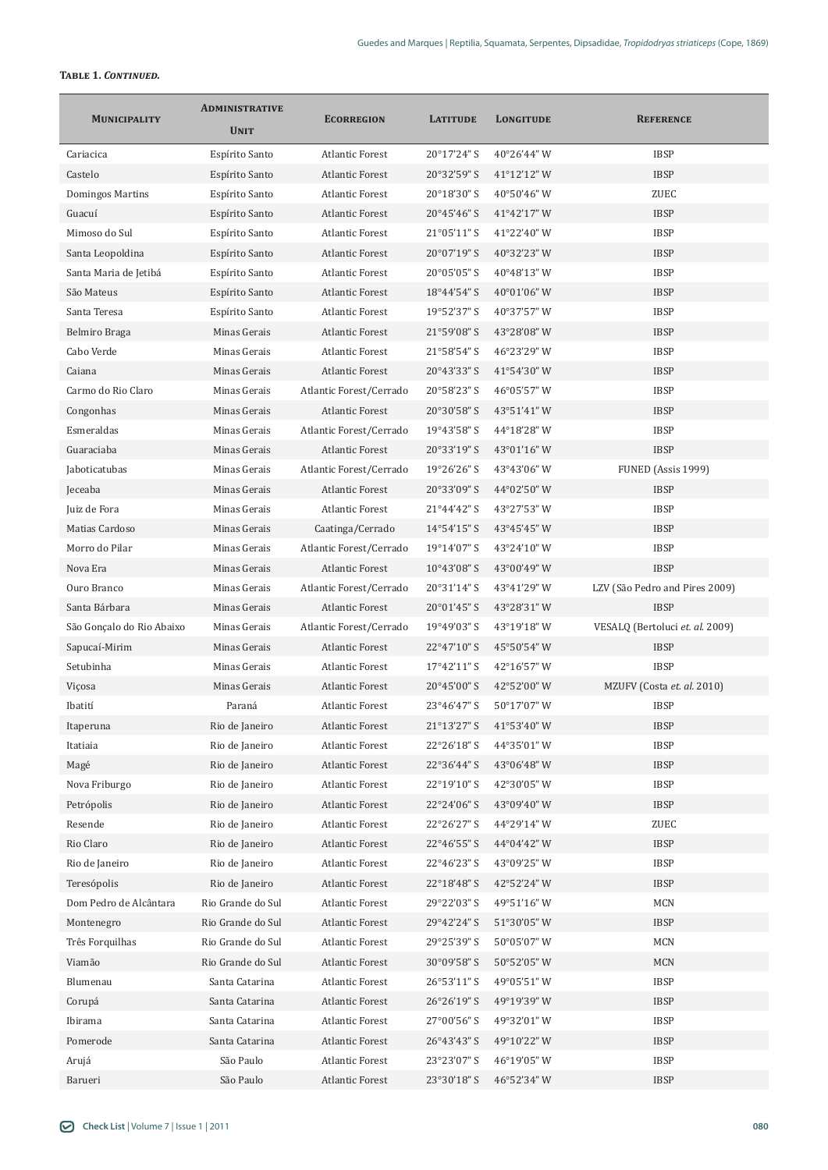## **Table 1.** *Continued.*

| <b>MUNICIPALITY</b>       | <b>ADMINISTRATIVE</b><br><b>UNIT</b> | <b>ECORREGION</b>                                | <b>LATITUDE</b>            | <b>LONGITUDE</b>           | <b>REFERENCE</b>                |
|---------------------------|--------------------------------------|--------------------------------------------------|----------------------------|----------------------------|---------------------------------|
| Cariacica                 | Espírito Santo                       | <b>Atlantic Forest</b>                           | 20°17'24" S                | 40°26'44" W                | <b>IBSP</b>                     |
| Castelo                   | Espírito Santo                       | <b>Atlantic Forest</b>                           | 20°32'59" S                | 41°12'12" W                | <b>IBSP</b>                     |
| Domingos Martins          | Espírito Santo                       | <b>Atlantic Forest</b>                           | 20°18'30" S                | 40°50'46" W                | <b>ZUEC</b>                     |
| Guacuí                    | Espírito Santo                       | <b>Atlantic Forest</b>                           | 20°45'46" S                | 41°42'17" W                | <b>IBSP</b>                     |
| Mimoso do Sul             | Espírito Santo                       | <b>Atlantic Forest</b>                           | 21°05'11" S                | 41°22'40" W                | <b>IBSP</b>                     |
| Santa Leopoldina          | Espírito Santo                       | <b>Atlantic Forest</b>                           | 20°07'19" S                | 40°32'23" W                | <b>IBSP</b>                     |
| Santa Maria de Jetibá     | Espírito Santo                       | <b>Atlantic Forest</b>                           | 20°05'05" S                | 40°48'13" W                | <b>IBSP</b>                     |
| São Mateus                | Espírito Santo                       | <b>Atlantic Forest</b>                           | 18°44'54" S                | 40°01'06" W                | <b>IBSP</b>                     |
| Santa Teresa              | Espírito Santo                       | <b>Atlantic Forest</b>                           | 19°52'37" S                | 40°37'57" W                | <b>IBSP</b>                     |
| Belmiro Braga             | Minas Gerais                         | <b>Atlantic Forest</b>                           | 21°59'08" S                | 43°28'08" W                | <b>IBSP</b>                     |
| Cabo Verde                | Minas Gerais                         | <b>Atlantic Forest</b>                           | 21°58'54" S                | 46°23'29" W                | <b>IBSP</b>                     |
| Caiana                    | Minas Gerais                         | <b>Atlantic Forest</b>                           | 20°43'33" S                | 41°54'30" W                | <b>IBSP</b>                     |
| Carmo do Rio Claro        | Minas Gerais                         | Atlantic Forest/Cerrado                          | 20°58'23" S                | 46°05'57" W                | <b>IBSP</b>                     |
| Congonhas                 | Minas Gerais                         | <b>Atlantic Forest</b>                           | 20°30'58" S                | 43°51'41" W                | <b>IBSP</b>                     |
| Esmeraldas                | Minas Gerais                         | Atlantic Forest/Cerrado                          | 19°43'58" S                | 44°18'28" W                | <b>IBSP</b>                     |
| Guaraciaba                | Minas Gerais                         | <b>Atlantic Forest</b>                           | 20°33'19" S                | 43°01'16" W                | <b>IBSP</b>                     |
| Jaboticatubas             | Minas Gerais                         | Atlantic Forest/Cerrado                          | 19°26'26" S                | 43°43'06" W                | FUNED (Assis 1999)              |
| Jeceaba                   | Minas Gerais                         | <b>Atlantic Forest</b>                           | 20°33'09" S                | 44°02'50" W                | <b>IBSP</b>                     |
| Juiz de Fora              | Minas Gerais                         | <b>Atlantic Forest</b>                           | 21°44'42" S                | 43°27'53" W                | <b>IBSP</b>                     |
| Matias Cardoso            | Minas Gerais                         | Caatinga/Cerrado                                 | 14°54'15" S                | 43°45'45" W                | <b>IBSP</b>                     |
| Morro do Pilar            | Minas Gerais                         | Atlantic Forest/Cerrado                          | 19°14'07" S                | 43°24'10" W                | <b>IBSP</b>                     |
| Nova Era                  | Minas Gerais                         | <b>Atlantic Forest</b>                           | 10°43'08" S                | 43°00'49" W                | <b>IBSP</b>                     |
| Ouro Branco               | Minas Gerais                         | Atlantic Forest/Cerrado                          | 20°31'14" S                | 43°41'29" W                | LZV (São Pedro and Pires 2009)  |
| Santa Bárbara             | Minas Gerais                         | <b>Atlantic Forest</b>                           | 20°01'45" S                | 43°28'31" W                | <b>IBSP</b>                     |
| São Gonçalo do Rio Abaixo | Minas Gerais                         | Atlantic Forest/Cerrado                          | $19^{\circ}49'03"$ S       | 43°19'18" W                | VESALQ (Bertoluci et. al. 2009) |
| Sapucaí-Mirim             | Minas Gerais                         | <b>Atlantic Forest</b>                           | 22°47'10" S                | 45°50'54" W                | <b>IBSP</b>                     |
| Setubinha                 | Minas Gerais                         | <b>Atlantic Forest</b>                           | 17°42'11" S                | 42°16'57" W                | <b>IBSP</b>                     |
| Viçosa                    | Minas Gerais                         | <b>Atlantic Forest</b>                           | 20°45'00" S                | 42°52'00" W                | MZUFV (Costa et. al. 2010)      |
| Ibatití                   | Paraná                               | <b>Atlantic Forest</b>                           | 23°46'47" S                | 50°17'07" W                | <b>IBSP</b>                     |
|                           | Rio de Janeiro                       | <b>Atlantic Forest</b>                           | 21°13'27" S                | 41°53'40" W                | <b>IBSP</b>                     |
| Itaperuna<br>Itatiaia     | Rio de Janeiro                       | <b>Atlantic Forest</b>                           | 22°26'18" S                | 44°35'01" W                | <b>IBSP</b>                     |
|                           | Rio de Janeiro                       |                                                  | 22°36'44" S                |                            | <b>IBSP</b>                     |
| Magé<br>Nova Friburgo     |                                      | <b>Atlantic Forest</b>                           |                            | 43°06'48" W                | <b>IBSP</b>                     |
| Petrópolis                | Rio de Janeiro<br>Rio de Janeiro     | <b>Atlantic Forest</b><br><b>Atlantic Forest</b> | 22°19'10" S<br>22°24'06" S | 42°30'05" W<br>43°09'40" W | <b>IBSP</b>                     |
|                           |                                      | <b>Atlantic Forest</b>                           |                            | 44°29'14" W                |                                 |
| Resende<br>Rio Claro      | Rio de Janeiro                       | <b>Atlantic Forest</b>                           | 22°26'27" S<br>22°46'55" S | 44°04'42" W                | ZUEC<br><b>IBSP</b>             |
|                           | Rio de Janeiro                       | <b>Atlantic Forest</b>                           |                            |                            | <b>IBSP</b>                     |
| Rio de Janeiro            | Rio de Janeiro                       | <b>Atlantic Forest</b>                           | 22°46'23" S                | 43°09'25" W                | <b>IBSP</b>                     |
| Teresópolis               | Rio de Janeiro                       |                                                  | 22°18'48" S                | 42°52'24" W                |                                 |
| Dom Pedro de Alcântara    | Rio Grande do Sul                    | <b>Atlantic Forest</b>                           | 29°22'03" S                | 49°51'16" W                | <b>MCN</b>                      |
| Montenegro                | Rio Grande do Sul                    | <b>Atlantic Forest</b>                           | 29°42'24" S                | 51°30'05" W                | <b>IBSP</b>                     |
| Três Forquilhas           | Rio Grande do Sul                    | <b>Atlantic Forest</b>                           | 29°25'39" S                | 50°05'07" W                | <b>MCN</b>                      |
| Viamão                    | Rio Grande do Sul                    | <b>Atlantic Forest</b>                           | 30°09'58" S                | 50°52'05" W                | <b>MCN</b>                      |
| Blumenau                  | Santa Catarina                       | <b>Atlantic Forest</b>                           | 26°53'11" S                | 49°05'51" W                | <b>IBSP</b>                     |
| Corupá                    | Santa Catarina                       | <b>Atlantic Forest</b>                           | 26°26'19" S                | 49°19'39" W                | <b>IBSP</b>                     |
| Ibirama                   | Santa Catarina                       | <b>Atlantic Forest</b>                           | 27°00'56" S                | 49°32'01" W                | <b>IBSP</b>                     |
| Pomerode                  | Santa Catarina                       | <b>Atlantic Forest</b>                           | 26°43'43" S                | 49°10'22" W                | <b>IBSP</b>                     |
| Arujá                     | São Paulo                            | <b>Atlantic Forest</b>                           | 23°23'07" S                | 46°19'05" W                | <b>IBSP</b>                     |
| Barueri                   | São Paulo                            | Atlantic Forest                                  | 23°30'18" S                | 46°52'34" W                | <b>IBSP</b>                     |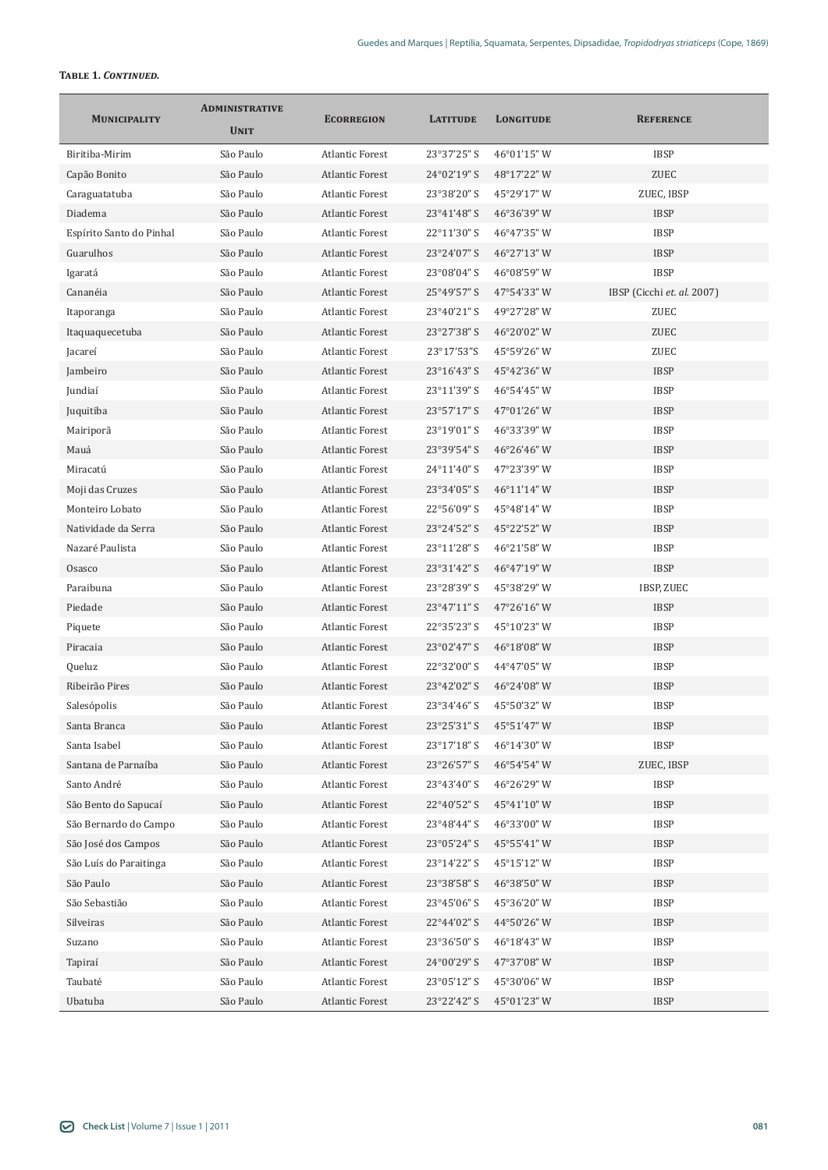## **Table 1.** *Continued.*

|                          | <b>ADMINISTRATIVE</b> |                        |                 | <b>LONGITUDE</b> | <b>REFERENCE</b>           |
|--------------------------|-----------------------|------------------------|-----------------|------------------|----------------------------|
| <b>MUNICIPALITY</b>      | <b>UNIT</b>           | <b>ECORREGION</b>      | <b>LATITUDE</b> |                  |                            |
| Biritiba-Mirim           | São Paulo             | <b>Atlantic Forest</b> | 23°37'25" S     | 46°01'15" W      | <b>IBSP</b>                |
| Capão Bonito             | São Paulo             | <b>Atlantic Forest</b> | 24°02'19" S     | 48°17'22" W      | <b>ZUEC</b>                |
| Caraguatatuba            | São Paulo             | <b>Atlantic Forest</b> | 23°38'20" S     | 45°29'17" W      | ZUEC, IBSP                 |
| Diadema                  | São Paulo             | <b>Atlantic Forest</b> | 23°41'48" S     | 46°36'39" W      | <b>IBSP</b>                |
| Espírito Santo do Pinhal | São Paulo             | <b>Atlantic Forest</b> | 22°11'30" S     | 46°47'35" W      | <b>IBSP</b>                |
| Guarulhos                | São Paulo             | <b>Atlantic Forest</b> | 23°24'07" S     | 46°27'13" W      | <b>IBSP</b>                |
| Igaratá                  | São Paulo             | <b>Atlantic Forest</b> | 23°08'04" S     | 46°08'59" W      | <b>IBSP</b>                |
| Cananéia                 | São Paulo             | <b>Atlantic Forest</b> | 25°49'57" S     | 47°54'33" W      | IBSP (Cicchi et. al. 2007) |
| Itaporanga               | São Paulo             | <b>Atlantic Forest</b> | 23°40'21" S     | 49°27'28" W      | ZUEC                       |
| Itaquaquecetuba          | São Paulo             | <b>Atlantic Forest</b> | 23°27'38" S     | 46°20'02" W      | <b>ZUEC</b>                |
| Jacareí                  | São Paulo             | <b>Atlantic Forest</b> | 23°17'53"S      | 45°59'26" W      | <b>ZUEC</b>                |
| Jambeiro                 | São Paulo             | <b>Atlantic Forest</b> | 23°16'43" S     | 45°42'36" W      | <b>IBSP</b>                |
| Jundiaí                  | São Paulo             | <b>Atlantic Forest</b> | 23°11'39" S     | 46°54'45" W      | <b>IBSP</b>                |
| Juquitiba                | São Paulo             | <b>Atlantic Forest</b> | 23°57'17" S     | 47°01'26" W      | <b>IBSP</b>                |
| Mairiporã                | São Paulo             | <b>Atlantic Forest</b> | 23°19'01" S     | 46°33'39" W      | <b>IBSP</b>                |
| Mauá                     | São Paulo             | <b>Atlantic Forest</b> | 23°39'54" S     | 46°26'46" W      | <b>IBSP</b>                |
| Miracatú                 | São Paulo             | <b>Atlantic Forest</b> | 24°11'40" S     | 47°23'39" W      | <b>IBSP</b>                |
| Moji das Cruzes          | São Paulo             | <b>Atlantic Forest</b> | 23°34'05" S     | 46°11'14" W      | <b>IBSP</b>                |
| Monteiro Lobato          | São Paulo             | <b>Atlantic Forest</b> | 22°56'09" S     | 45°48'14" W      | <b>IBSP</b>                |
| Natividade da Serra      | São Paulo             | <b>Atlantic Forest</b> | 23°24'52" S     | 45°22'52" W      | <b>IBSP</b>                |
| Nazaré Paulista          | São Paulo             | <b>Atlantic Forest</b> | 23°11'28" S     | 46°21'58" W      | <b>IBSP</b>                |
| Osasco                   | São Paulo             | <b>Atlantic Forest</b> | 23°31'42" S     | 46°47'19" W      | <b>IBSP</b>                |
| Paraibuna                | São Paulo             | <b>Atlantic Forest</b> | 23°28'39" S     | 45°38'29" W      | <b>IBSP, ZUEC</b>          |
| Piedade                  | São Paulo             | <b>Atlantic Forest</b> | 23°47'11" S     | 47°26'16" W      | <b>IBSP</b>                |
| Piquete                  | São Paulo             | <b>Atlantic Forest</b> | 22°35'23" S     | 45°10'23" W      | <b>IBSP</b>                |
| Piracaia                 | São Paulo             | <b>Atlantic Forest</b> | 23°02'47" S     | 46°18'08" W      | <b>IBSP</b>                |
| Queluz                   | São Paulo             | <b>Atlantic Forest</b> | 22°32'00" S     | 44°47'05" W      | <b>IBSP</b>                |
| Ribeirão Pires           | São Paulo             | <b>Atlantic Forest</b> | 23°42'02" S     | 46°24'08" W      | <b>IBSP</b>                |
| Salesópolis              | São Paulo             | <b>Atlantic Forest</b> | 23°34'46" S     | 45°50'32" W      | <b>IBSP</b>                |
| Santa Branca             | São Paulo             | <b>Atlantic Forest</b> | 23°25'31" S     | 45°51'47" W      | <b>IBSP</b>                |
| Santa Isabel             | São Paulo             | <b>Atlantic Forest</b> | 23°17'18" S     | 46°14'30" W      | <b>IBSP</b>                |
| Santana de Parnaíba      | São Paulo             | <b>Atlantic Forest</b> | 23°26'57" S     | 46°54'54" W      | ZUEC, IBSP                 |
| Santo André              | São Paulo             | <b>Atlantic Forest</b> | 23°43'40" S     | 46°26'29" W      | <b>IBSP</b>                |
| São Bento do Sapucaí     | São Paulo             | <b>Atlantic Forest</b> | 22°40'52" S     | 45°41'10" W      | <b>IBSP</b>                |
| São Bernardo do Campo    | São Paulo             | <b>Atlantic Forest</b> | 23°48'44" S     | 46°33'00" W      | <b>IBSP</b>                |
| São José dos Campos      | São Paulo             | <b>Atlantic Forest</b> | 23°05'24" S     | 45°55'41" W      | <b>IBSP</b>                |
| São Luís do Paraitinga   | São Paulo             | <b>Atlantic Forest</b> | 23°14'22" S     | 45°15'12" W      | <b>IBSP</b>                |
| São Paulo                | São Paulo             | <b>Atlantic Forest</b> | 23°38'58" S     | 46°38'50" W      | <b>IBSP</b>                |
| São Sebastião            | São Paulo             | <b>Atlantic Forest</b> | 23°45'06" S     | 45°36'20" W      | <b>IBSP</b>                |
| Silveiras                | São Paulo             | <b>Atlantic Forest</b> | 22°44'02" S     | 44°50'26" W      | <b>IBSP</b>                |
| Suzano                   | São Paulo             | <b>Atlantic Forest</b> | 23°36'50" S     | 46°18'43" W      | <b>IBSP</b>                |
| Tapiraí                  | São Paulo             | <b>Atlantic Forest</b> | 24°00'29" S     | 47°37'08" W      | <b>IBSP</b>                |
| Taubaté                  | São Paulo             | <b>Atlantic Forest</b> | 23°05'12" S     | 45°30'06" W      | <b>IBSP</b>                |
| Ubatuba                  | São Paulo             | <b>Atlantic Forest</b> | 23°22'42" S     | 45°01'23" W      | <b>IBSP</b>                |